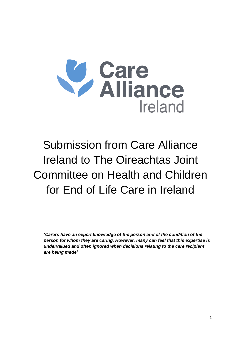

# Submission from Care Alliance Ireland to The Oireachtas Joint Committee on Health and Children for End of Life Care in Ireland

*'Carers have an expert knowledge of the person and of the condition of the person for whom they are caring. However, many can feel that this expertise is undervalued and often ignored when decisions relating to the care recipient are being made'<sup>i</sup>*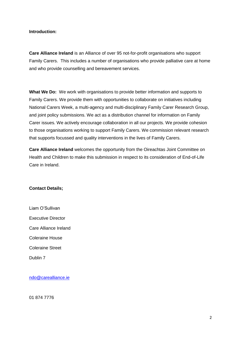#### **Introduction:**

**Care Alliance Ireland** is an Alliance of over 95 not-for-profit organisations who support Family Carers. This includes a number of organisations who provide palliative care at home and who provide counselling and bereavement services.

**What We Do:** We work with organisations to provide better information and supports to Family Carers. We provide them with opportunities to collaborate on initiatives including National Carers Week, a multi-agency and multi-disciplinary Family Carer Research Group, and joint policy submissions. We act as a distribution channel for information on Family Carer issues. We actively encourage collaboration in all our projects. We provide cohesion to those organisations working to support Family Carers. We commission relevant research that supports focussed and quality interventions in the lives of Family Carers.

**Care Alliance Ireland** welcomes the opportunity from the Oireachtas Joint Committee on Health and Children to make this submission in respect to its consideration of End-of-Life Care in Ireland.

#### **Contact Details;**

Liam O'Sullivan Executive Director Care Alliance Ireland Coleraine House Coleraine Street Dublin 7

[ndo@carealliance.ie](mailto:ndo@carealliance.ie)

01 874 7776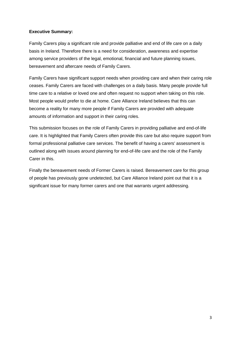## **Executive Summary:**

Family Carers play a significant role and provide palliative and end of life care on a daily basis in Ireland. Therefore there is a need for consideration, awareness and expertise among service providers of the legal, emotional, financial and future planning issues, bereavement and aftercare needs of Family Carers.

Family Carers have significant support needs when providing care and when their caring role ceases. Family Carers are faced with challenges on a daily basis. Many people provide full time care to a relative or loved one and often request no support when taking on this role. Most people would prefer to die at home. Care Alliance Ireland believes that this can become a reality for many more people if Family Carers are provided with adequate amounts of information and support in their caring roles.

This submission focuses on the role of Family Carers in providing palliative and end-of-life care. It is highlighted that Family Carers often provide this care but also require support from formal professional palliative care services. The benefit of having a carers' assessment is outlined along with issues around planning for end-of-life care and the role of the Family Carer in this.

Finally the bereavement needs of Former Carers is raised. Bereavement care for this group of people has previously gone undetected, but Care Alliance Ireland point out that it is a significant issue for many former carers and one that warrants urgent addressing.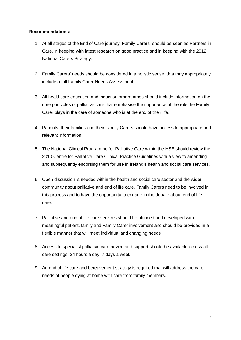#### **Recommendations:**

- 1. At all stages of the End of Care journey, Family Carers should be seen as Partners in Care, in keeping with latest research on good practice and in keeping with the 2012 National Carers Strategy.
- 2. Family Carers' needs should be considered in a holistic sense, that may appropriately include a full Family Carer Needs Assessment.
- 3. All healthcare education and induction programmes should include information on the core principles of palliative care that emphasise the importance of the role the Family Carer plays in the care of someone who is at the end of their life.
- 4. Patients, their families and their Family Carers should have access to appropriate and relevant information.
- 5. The National Clinical Programme for Palliative Care within the HSE should review the 2010 Centre for Palliative Care Clinical Practice Guidelines with a view to amending and subsequently endorsing them for use in Ireland's health and social care services.
- 6. Open discussion is needed within the health and social care sector and the wider community about palliative and end of life care. Family Carers need to be involved in this process and to have the opportunity to engage in the debate about end of life care.
- 7. Palliative and end of life care services should be planned and developed with meaningful patient, family and Family Carer involvement and should be provided in a flexible manner that will meet individual and changing needs.
- 8. Access to specialist palliative care advice and support should be available across all care settings, 24 hours a day, 7 days a week.
- 9. An end of life care and bereavement strategy is required that will address the care needs of people dying at home with care from family members.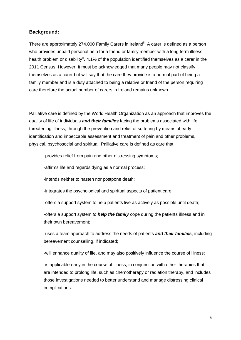#### **Background:**

There are approximately 274,000 Family Carers in Ireland<sup>ii</sup>. A carer is defined as a person who provides unpaid personal help for a friend or family member with a long term illness, health problem or disability<sup>ii</sup>. 4.1% of the population identified themselves as a carer in the 2011 Census. However, it must be acknowledged that many people may not classify themselves as a carer but will say that the care they provide is a normal part of being a family member and is a duty attached to being a relative or friend of the person requiring care therefore the actual number of carers in Ireland remains unknown.

Palliative care is defined by the World Health Organization as an approach that improves the quality of life of individuals *and their families* facing the problems associated with life threatening illness, through the prevention and relief of suffering by means of early identification and impeccable assessment and treatment of pain and other problems, physical, psychosocial and spiritual. Palliative care is defined as care that:

-provides relief from pain and other distressing symptoms;

-affirms life and regards dying as a normal process;

-intends neither to hasten nor postpone death;

-integrates the psychological and spiritual aspects of patient care;

-offers a support system to help patients live as actively as possible until death;

-offers a support system *to help the family* cope during the patients illness and in their own bereavement;

-uses a team approach to address the needs of patients *and their families*, including bereavement counselling, if indicated;

-will enhance quality of life, and may also positively influence the course of illness;

-is applicable early in the course of illness, in conjunction with other therapies that are intended to prolong life, such as chemotherapy or radiation therapy, and includes those investigations needed to better understand and manage distressing clinical complications.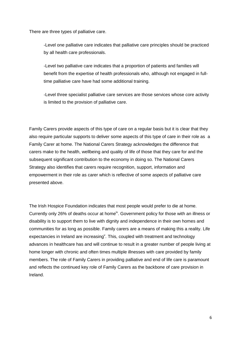There are three types of palliative care.

-Level one palliative care indicates that palliative care principles should be practiced by all health care professionals.

-Level two palliative care indicates that a proportion of patients and families will benefit from the expertise of health professionals who, although not engaged in fulltime palliative care have had some additional training.

-Level three specialist palliative care services are those services whose core activity is limited to the provision of palliative care.

Family Carers provide aspects of this type of care on a regular basis but it is clear that they also require particular supports to deliver some aspects of this type of care in their role as a Family Carer at home. The National Carers Strategy acknowledges the difference that carers make to the health, wellbeing and quality of life of those that they care for and the subsequent significant contribution to the economy in doing so. The National Carers Strategy also identifies that carers require recognition, support, information and empowerment in their role as carer which is reflective of some aspects of palliative care presented above.

The Irish Hospice Foundation indicates that most people would prefer to die at home. Currently only 26% of deaths occur at home<sup>iv</sup>. Government policy for those with an illness or disability is to support them to live with dignity and independence in their own homes and communities for as long as possible. Family carers are a means of making this a reality. Life expectancies in Ireland are increasing<sup>v</sup>. This, coupled with treatment and technology advances in healthcare has and will continue to result in a greater number of people living at home longer with chronic and often times multiple illnesses with care provided by family members. The role of Family Carers in providing palliative and end of life care is paramount and reflects the continued key role of Family Carers as the backbone of care provision in Ireland.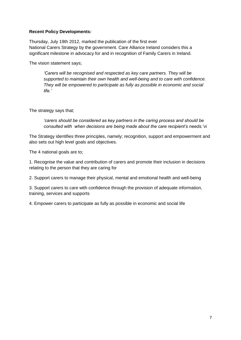#### **Recent Policy Developments:**

Thursday, July 19th 2012, marked the publication of the first ever National Carers Strategy by the government. Care Alliance Ireland considers this a significant milestone in advocacy for and in recognition of Family Carers in Ireland.

The vision statement says;

*'Carers will be recognised and respected as key care partners. They will be supported to maintain their own health and well-being and to care with confidence. They will be empowered to participate as fully as possible in economic and social life.'*

The strategy says that;

*'carers should be considered as key partners in the caring process and should be consulted with when decisions are being made about the care recipient's needs.*'vi

The Strategy identifies three principles, namely; recognition, support and empowerment and also sets out high level goals and objectives.

The 4 national goals are to;

1. Recognise the value and contribution of carers and promote their inclusion in decisions relating to the person that they are caring for

2. Support carers to manage their physical, mental and emotional health and well-being

3. Support carers to care with confidence through the provision of adequate information, training, services and supports

4. Empower carers to participate as fully as possible in economic and social life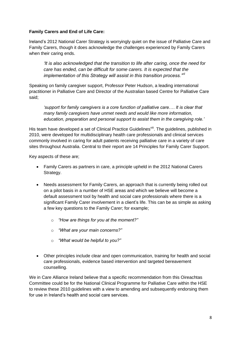## **Family Carers and End of Life Care:**

Ireland's 2012 National Carer Strategy is worryingly quiet on the issue of Palliative Care and Family Carers, though it does acknowledge the challenges experienced by Family Carers when their caring ends.

*'It is also acknowledged that the transition to life after caring, once the need for care has ended, can be difficult for some carers. It is expected that the implementation of this Strategy will assist in this transition process.'vii*

Speaking on family caregiver support, Professor Peter Hudson, a leading international practitioner in Palliative Care and Director of the Australian based Centre for Palliative Care said;

*'support for family caregivers is a core function of palliative care.… It is clear that many family caregivers have unmet needs and would like more information, education, preparation and personal support to assist them in the caregiving role.'*

His team have developed a set of Clinical Practice Guidelines<sup>viii</sup>. The guidelines, published in 2010, were developed for multidisciplinary health care professionals and clinical services commonly involved in caring for adult patients receiving palliative care in a variety of care sites throughout Australia. Central to their report are 14 Principles for Family Carer Support.

Key aspects of these are;

- Family Carers as partners in care, a principle upheld in the 2012 National Carers Strategy.
- Needs assessment for Family Carers, an approach that is currently being rolled out on a pilot basis in a number of HSE areas and which we believe will become a default assessment tool by health and social care professionals where there is a significant Family Carer involvement in a client's life. This can be as simple as asking a few key questions to the Family Carer; for example;
	- o *"How are things for you at the moment?"*
	- o *"What are your main concerns?"*
	- o *"What would be helpful to you?"*
- Other principles include clear and open communication, training for health and social care professionals, evidence based intervention and targeted bereavement counselling.

We in Care Alliance Ireland believe that a specific recommendation from this Oireachtas Committee could be for the National Clinical Programme for Palliative Care within the HSE to review these 2010 guidelines with a view to amending and subsequently endorsing them for use in Ireland's health and social care services.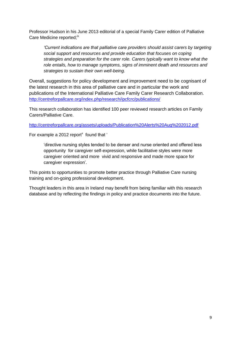Professor Hudson in his June 2013 editorial of a special Family Carer edition of Palliative Care Medicine reported;<sup>ix</sup>

*'Current indications are that palliative care providers should assist carers by targeting social support and resources and provide education that focuses on coping strategies and preparation for the carer role. Carers typically want to know what the role entails, how to manage symptoms, signs of imminent death and resources and strategies to sustain their own well-being.* 

Overall, suggestions for policy development and improvement need to be cognisant of the latest research in this area of palliative care and in particular the work and publications of the International Palliative Care Family Carer Research Collaboration. <http://centreforpallcare.org/index.php/research/ipcfcrc/publications/>

This research collaboration has identified 100 peer reviewed research articles on Family Carers/Palliative Care.

<http://centreforpallcare.org/assets/uploads/Publication%20Alerts%20Aug%202012.pdf>

For example a 2012 report<sup>x</sup> found that '

'directive nursing styles tended to be denser and nurse oriented and offered less opportunity for caregiver self-expression, while facilitative styles were more caregiver oriented and more vivid and responsive and made more space for caregiver expression'.

This points to opportunities to promote better practice through Palliative Care nursing training and on-going professional development.

Thought leaders in this area in Ireland may benefit from being familiar with this research database and by reflecting the findings in policy and practice documents into the future.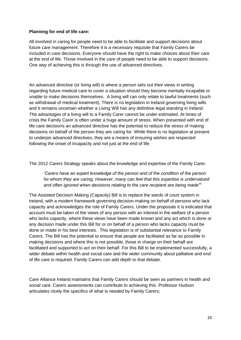#### **Planning for end of life care:**

All involved in caring for people need to be able to facilitate and support decisions about future care management. Therefore it is a necessary requisite that Family Carers be included in care decisions. Everyone should have the right to make choices about their care at the end of life. Those involved in the care of people need to be able to support decisions. One way of achieving this is through the use of advanced directives.

An advanced directive (or living will) is where a person sets out their views in writing regarding future medical care to cover a situation should they become mentally incapable or unable to make decisions themselves. A living will can only relate to lawful treatments (such as withdrawal of medical treatment). There is no legislation in Ireland governing living wills and it remains uncertain whether a Living Will has any definitive legal standing in Ireland. The advantages of a living will to a Family Carer cannot be under estimated. At times of crisis the Family Carer is often under a huge amount of stress. When presented with end of life care decisions an advanced directive has the potential to reduce the stress of making decisions on behalf of the person they are caring for. While there is no legislation at present to underpin advanced directives, they are a means of ensuring wishes are respected following the onset of incapacity and not just at the end of life.

The 2012 Carers Strategy speaks about the knowledge and expertise of the Family Carer.

*'Carers have an expert knowledge of the person and of the condition of the person for whom they are caring. However, many can feel that this expertise is undervalued and often ignored when decisions relating to the care recipient are being made'xi*

The Assisted Decision Making (Capacity) Bill is to replace the wards of court system in Ireland, with a modern framework governing decision-making on behalf of persons who lack capacity and acknowledges the role of Family Carers. Under the proposals it is indicated that account must be taken of the views of any person with an interest in the welfare of a person who lacks capacity, where these views have been made known and any act which is done or any decision made under this Bill for or on behalf of a person who lacks capacity must be done or made in his best interests. This legislation is of substantial relevance to Family Carers. The Bill has the potential to ensure that people are facilitated as far as possible in making decisions and where this is not possible, those in charge on their behalf are facilitated and supported to act on their behalf. For this Bill to be implemented successfully, a wider debate within health and social care and the wider community about palliative and end of life care is required. Family Carers can add depth to that debate.

Care Alliance Ireland maintains that Family Carers should be seen as partners in health and social care. Carers assessments can contribute to achieving this. Professor Hudson articulates nicely the specifics of what is needed by Family Carers;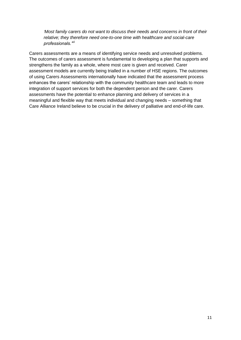*'Most family carers do not want to discuss their needs and concerns in front of their relative; they therefore need one-to-one time with healthcare and social-care professionals.'xii*

Carers assessments are a means of identifying service needs and unresolved problems. The outcomes of carers assessment is fundamental to developing a plan that supports and strengthens the family as a whole, where most care is given and received. Carer assessment models are currently being trialled in a number of HSE regions. The outcomes of using Carers Assessments internationally have indicated that the assessment process enhances the carers' relationship with the community healthcare team and leads to more integration of support services for both the dependent person and the carer. Carers assessments have the potential to enhance planning and delivery of services in a meaningful and flexible way that meets individual and changing needs – something that Care Alliance Ireland believe to be crucial in the delivery of palliative and end-of-life care.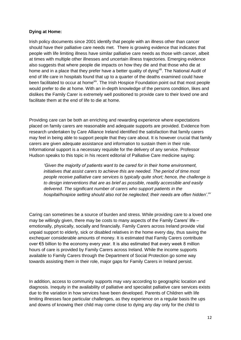## **Dying at Home:**

Irish policy documents since 2001 identify that people with an illness other than cancer should have their palliative care needs met. There is growing evidence that indicates that people with life limiting illness have similar palliative care needs as those with cancer, albeit at times with multiple other illnesses and uncertain illness trajectories. Emerging evidence also suggests that where people die impacts on how they die and that those who die at home and in a place that they prefer have a better quality of dying<sup>xiii</sup>. The National Audit of end of life care in hospitals found that up to a quarter of the deaths examined could have been facilitated to occur at home<sup>xiv</sup>. The Irish Hospice Foundation point out that most people would prefer to die at home. With an in-depth knowledge of the persons condition, likes and dislikes the Family Carer is extremely well positioned to provide care to their loved one and facilitate them at the end of life to die at home.

Providing care can be both an enriching and rewarding experience where expectations placed on family carers are reasonable and adequate supports are provided. Evidence from research undertaken by Care Alliance Ireland identified the satisfaction that family carers may feel in being able to support people that they care about. It is however crucial that family carers are given adequate assistance and information to sustain them in their role. Informational support is a necessary requisite for the delivery of any service. Professor Hudson speaks to this topic in his recent editorial of Palliative Care medicine saying:

*'Given the majority of patients want to be cared for in their home environment, initiatives that assist carers to achieve this are needed. The period of time most people receive palliative care services is typically quite short; hence, the challenge is to design interventions that are as brief as possible, readily accessible and easily delivered. The significant number of carers who support patients in the hospital/hospice setting should also not be neglected; their needs are often hidden'.xv*

Caring can sometimes be a source of burden and stress. While providing care to a loved one may be willingly given, there may be costs to many aspects of the Family Carers' life – emotionally, physically, socially and financially. Family Carers across Ireland provide vital unpaid support to elderly, sick or disabled relatives in the home every day, thus saving the exchequer considerable amounts of money. It is estimated that Family Carers contribute over €5 billion to the economy every year. It is also estimated that every week 8 million hours of care is provided by Family Carers across Ireland. While the income supports available to Family Carers through the Department of Social Protection go some way towards assisting them in their role, major gaps for Family Carers in Ireland persist.

In addition, access to community supports may vary according to geographic location and diagnosis. Inequity in the availability of palliative and specialist palliative care services exists due to the variation in how services have been developed. Parents of Children with life limiting illnesses face particular challenges, as they experience on a regular basis the ups and downs of knowing their child may come close to dying any day only for the child to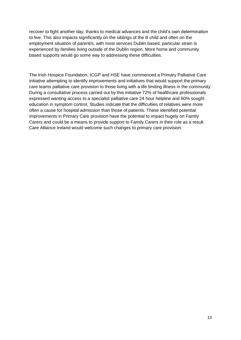recover to fight another day, thanks to medical advances and the child's own determination to live. This also impacts significantly on the siblings of the ill child and often on the employment situation of parent/s; with most services Dublin based, particular strain is experienced by families living outside of the Dublin region. More home and community based supports would go some way to addressing these difficulties.

The Irish Hospice Foundation, ICGP and HSE have commenced a Primary Palliative Care initiative attempting to identify improvements and initiatives that would support the primary care teams palliative care provision to those living with a life limiting illness in the community. During a consultative process carried out by this initiative 72% of healthcare professionals expressed wanting access to a specialist palliative care 24 hour helpline and 60% sought education in symptom control. Studies indicate that the difficulties of relatives were more often a cause for hospital admission than those of patients. These identified potential improvements in Primary Care provision have the potential to impact hugely on Family Carers and could be a means to provide support to Family Carers in their role as a result Care Alliance Ireland would welcome such changes to primary care provision.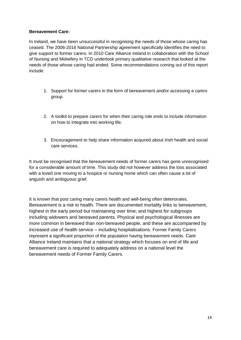## **Bereavement Care:**

In Ireland, we have been unsuccessful in recognising the needs of those whose caring has ceased. The 2006-2016 National Partnership agreement specifically identifies the need to give support to former carers. In 2010 Care Alliance Ireland in collaboration with the School of Nursing and Midwifery in TCD undertook primary qualitative research that looked at the needs of those whose caring had ended. Some recommendations coming out of this report include:

- 1. Support for former carers in the form of bereavement and/or accessing a carers group.
- 2. A toolkit to prepare carers for when their caring role ends to include information on how to integrate into working life.
- 3. Encouragement to help share information acquired about Irish health and social care services.

It must be recognised that the bereavement needs of former carers has gone unrecognised for a considerable amount of time. This study did not however address the loss associated with a loved one moving to a hospice or nursing home which can often cause a lot of anguish and ambiguous grief.

It is known that post caring many carers health and well-being often deteriorates. Bereavement is a risk to health. There are documented mortality links to bereavement, highest in the early period but maintaining over time; and highest for subgroups including widowers and bereaved parents. Physical and psychological illnesses are more common in bereaved than non-bereaved people, and these are accompanied by increased use of health service – including hospitalisations. Former Family Carers represent a significant proportion of the population having bereavement needs. Care Alliance Ireland maintains that a national strategy which focuses on end of life and bereavement care is required to adequately address on a national level the bereavement needs of Former Family Carers.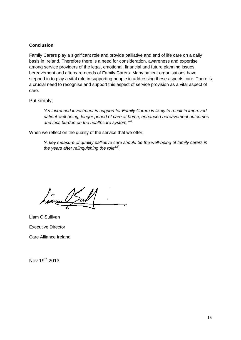## **Conclusion**

Family Carers play a significant role and provide palliative and end of life care on a daily basis in Ireland. Therefore there is a need for consideration, awareness and expertise among service providers of the legal, emotional, financial and future planning issues, bereavement and aftercare needs of Family Carers. Many patient organisations have stepped in to play a vital role in supporting people in addressing these aspects care. There is a crucial need to recognise and support this aspect of service provision as a vital aspect of care.

Put simply;

*'An increased investment in support for Family Carers is likely to result in improved patient well-being, longer period of care at home, enhanced bereavement outcomes and less burden on the healthcare system.'xvi*

When we reflect on the quality of the service that we offer;

*'A key measure of quality palliative care should be the well-being of family carers in the years after relinquishing the rolexvii .*

Liam O'Sullivan Executive Director Care Alliance Ireland

Nov 19<sup>th</sup> 2013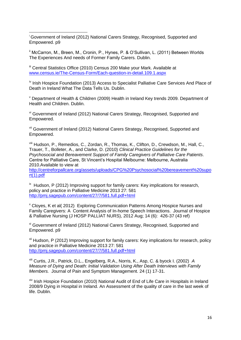1 <sup>i</sup> Government of Ireland (2012) National Carers Strategy, Recognised, Supported and Empowered. p9

<sup>ii</sup> McCarron, M., Breen, M., Cronin, P., Hynes, P. & O'Sullivan, L. (2011) Between Worlds The Experiences And needs of Former Family Carers. Dublin.

<sup>iii</sup> Central Statistics Office (2010) Census 200 Make your Mark. Available at [www.census.ie/The-Census-Form/Each-question-in-detail.109.1.aspx](http://www.census.ie/The-Census-Form/Each-question-in-detail.109.1.aspx)

<sup>iv</sup> Irish Hospice Foundation (2013) Access to Specialist Palliative Care Services And Place of Death in Ireland What The Data Tells Us. Dublin.

<sup>v</sup> Department of Health & Children (2009) Health in Ireland Key trends 2009. Department of Health and Children. Dublin.

vi Government of Ireland (2012) National Carers Strategy, Recognised, Supported and Empowered.

vii Government of Ireland (2012) National Carers Strategy, Recognised, Supported and Empowered.

viii Hudson, P., Remedios, C., Zordan, R., Thomas, K., Clifton, D., Crewdson, M., Hall, C., Trauer, T., Bolleter, A., and Clarke, D. (2010) *Clinical Practice Guidelines for the Psychosocial and Bereavement Support of Family Caregivers of Palliative Care Patients*. Centre for Palliative Care, St Vincent's Hospital Melbourne: Melbourne, Australia 2010.Available to view at

[http://centreforpallcare.org/assets/uploads/CPG%20Psychosocial%20bereavement%20supo](http://centreforpallcare.org/assets/uploads/CPG%20Psychosocial%20bereavement%20suport(1).pdf)  $rt(1)$ .pdf

 $\mu$ <sup>x</sup> Hudson, P (2012) Improving support for family carers: Key implications for research, policy and practice in Palliative Medicine 2013 27: 581 <http://pmj.sagepub.com/content/27/7/581.full.pdf+html>

<sup>x</sup> Cloyes, K et al( 2012) Exploring Communication Patterns Among Hospice Nurses and Family Caregivers: A Content Analysis of In-home Speech Interactions. Journal of Hospice & Palliative Nursing (J HOSP PALLIAT NURS), 2012 Aug; 14 (6): 426-37 (43 ref)

xi Government of Ireland (2012) National Carers Strategy, Recognised, Supported and Empowered. p9

<sup>xii</sup> Hudson, P (2012) Improving support for family carers: Key implications for research, policy and practice in Palliative Medicine 2013 27: 581 <http://pmj.sagepub.com/content/27/7/581.full.pdf+html>

xiii Curtis, J.R., Patrick, D.L., Engelberg, R.A., Norris, K., Asp, C. & byock I. (2002) *A Measure of Dying and Death: Initial Validation Using After Death Interviews with Family Members.* Journal of Pain and Symptom Management. 24 (1) 17-31.

<sup>xiv</sup> Irish Hospice Foundation (2010) National Audit of End of Life Care in Hospitals in Ireland 2008/9 Dying in Hospital in Ireland. An Assessment of the quality of care in the last week of life. Dublin.